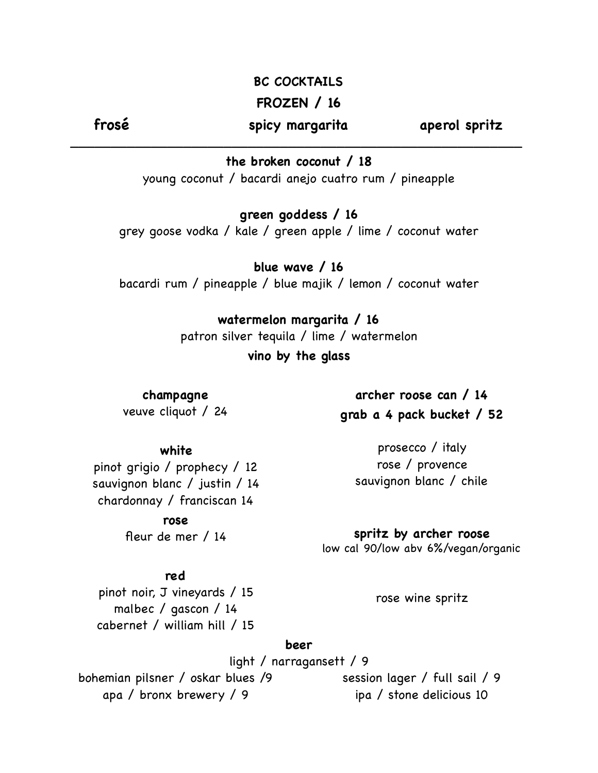## **BC COCKTAILS**

## **FROZEN / 16**

**frosé spicy margarita aperol spritz**

\_\_\_\_\_\_\_\_\_\_\_\_\_\_\_\_\_\_\_\_\_\_\_\_\_\_\_\_\_\_\_\_\_\_\_\_\_\_\_\_\_\_\_\_\_\_\_\_\_\_\_\_\_\_\_\_

**the broken coconut / 18**

young coconut / bacardi anejo cuatro rum / pineapple

**green goddess / 16**

grey goose vodka / kale / green apple / lime / coconut water

**blue wave / 16** bacardi rum / pineapple / blue majik / lemon / coconut water

> **watermelon margarita / 16** patron silver tequila / lime / watermelon **vino by the glass**

**champagne** veuve cliquot / 24

**white**

pinot grigio / prophecy / 12 sauvignon blanc / justin / 14 chardonnay / franciscan 14

> **rose** fleur de mer / 14

**archer roose can / 14 grab a 4 pack bucket / 52**

prosecco / italy rose / provence sauvignon blanc / chile

**spritz by archer roose** low cal 90/low abv 6%/vegan/organic

#### **red**

pinot noir, J vineyards / 15 malbec / gascon / 14 cabernet / william hill / 15

rose wine spritz

#### **beer**

light / narragansett / 9

bohemian pilsner / oskar blues /9 apa / bronx brewery / 9

session lager / full sail / 9 ipa / stone delicious 10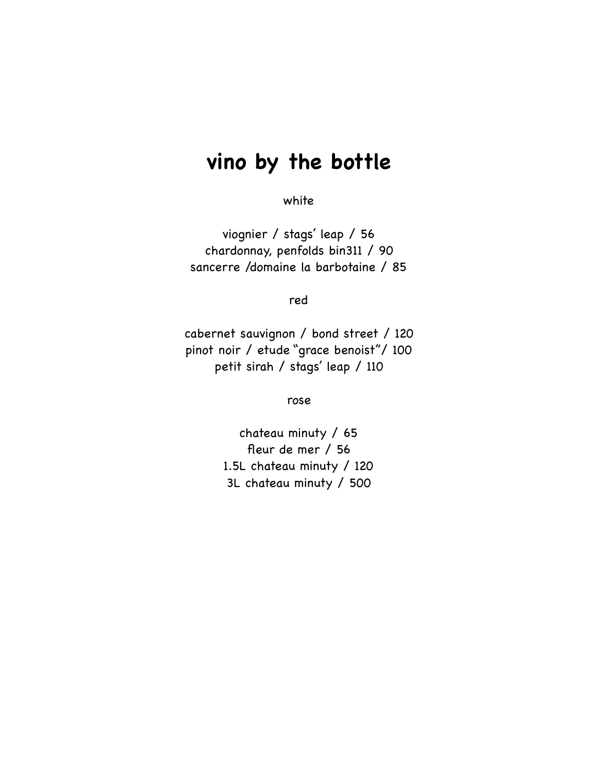# **vino by the bottle**

white

viognier / stags' leap / 56 chardonnay, penfolds bin311 / 90 sancerre /domaine la barbotaine / 85

red

cabernet sauvignon / bond street / 120 pinot noir / etude "grace benoist"/ 100 petit sirah / stags' leap / 110

rose

chateau minuty / 65 fleur de mer / 56 1.5L chateau minuty / 120 3L chateau minuty / 500